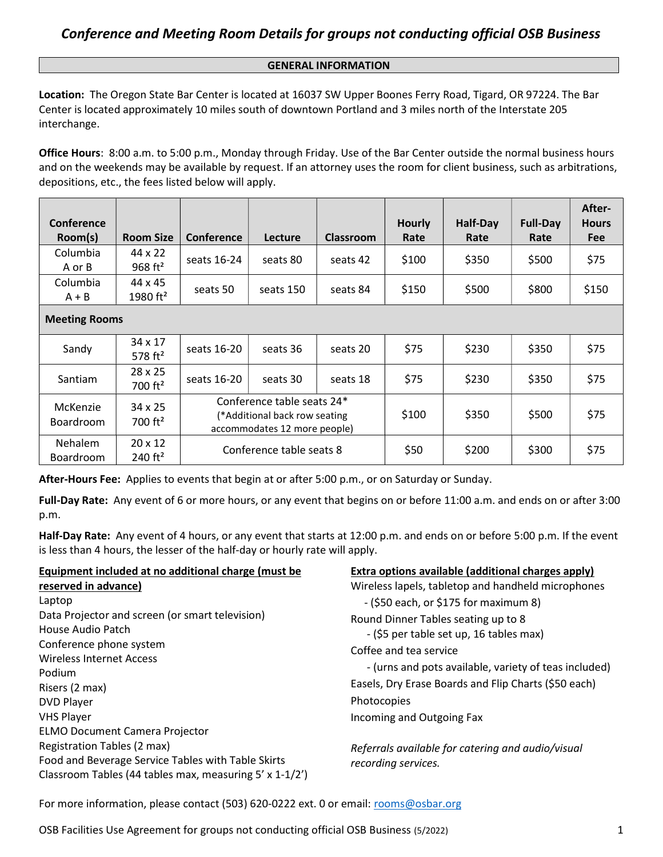#### GENERAL INFORMATION

Location: The Oregon State Bar Center is located at 16037 SW Upper Boones Ferry Road, Tigard, OR 97224. The Bar Center is located approximately 10 miles south of downtown Portland and 3 miles north of the Interstate 205 interchange.

Office Hours: 8:00 a.m. to 5:00 p.m., Monday through Friday. Use of the Bar Center outside the normal business hours and on the weekends may be available by request. If an attorney uses the room for client business, such as arbitrations, depositions, etc., the fees listed below will apply.

| Conference<br>Room(s)        | <b>Room Size</b>                     | <b>Conference</b>                                                                            | Lecture   | Classroom | <b>Hourly</b><br>Rate | Half-Day<br>Rate | <b>Full-Day</b><br>Rate | After-<br><b>Hours</b><br><b>Fee</b> |
|------------------------------|--------------------------------------|----------------------------------------------------------------------------------------------|-----------|-----------|-----------------------|------------------|-------------------------|--------------------------------------|
| Columbia<br>A or B           | 44 x 22<br>$968 \text{ ft}^2$        | seats 16-24                                                                                  | seats 80  | seats 42  | \$100                 | \$350            | \$500                   | \$75                                 |
| Columbia<br>$A + B$          | 44 x 45<br>1980 ft <sup>2</sup>      | seats 50                                                                                     | seats 150 | seats 84  | \$150                 | \$500            | \$800                   | \$150                                |
| <b>Meeting Rooms</b>         |                                      |                                                                                              |           |           |                       |                  |                         |                                      |
| Sandy                        | 34 x 17<br>578 $ft^2$                | seats 16-20                                                                                  | seats 36  | seats 20  | \$75                  | \$230            | \$350                   | \$75                                 |
| Santiam                      | 28 x 25<br>700 $ft^2$                | seats 16-20                                                                                  | seats 30  | seats 18  | \$75                  | \$230            | \$350                   | \$75                                 |
| McKenzie<br><b>Boardroom</b> | $34 \times 25$<br>700 $ft^2$         | Conference table seats 24*<br>(*Additional back row seating)<br>accommodates 12 more people) |           | \$100     | \$350                 | \$500            | \$75                    |                                      |
| Nehalem<br><b>Boardroom</b>  | $20 \times 12$<br>$240 \text{ ft}^2$ | Conference table seats 8                                                                     |           | \$50      | \$200                 | \$300            | \$75                    |                                      |

After-Hours Fee: Applies to events that begin at or after 5:00 p.m., or on Saturday or Sunday.

Full-Day Rate: Any event of 6 or more hours, or any event that begins on or before 11:00 a.m. and ends on or after 3:00 p.m.

Half-Day Rate: Any event of 4 hours, or any event that starts at 12:00 p.m. and ends on or before 5:00 p.m. If the event is less than 4 hours, the lesser of the half-day or hourly rate will apply.

| Equipment included at no additional charge (must be     | Extra options available (additional charges apply)                                                                                                                |  |  |
|---------------------------------------------------------|-------------------------------------------------------------------------------------------------------------------------------------------------------------------|--|--|
| reserved in advance)                                    | Wireless lapels, tabletop and handheld microphones                                                                                                                |  |  |
| Laptop                                                  | $-$ (\$50 each, or \$175 for maximum 8)                                                                                                                           |  |  |
| Data Projector and screen (or smart television)         | Round Dinner Tables seating up to 8<br>- (\$5 per table set up, 16 tables max)<br>Coffee and tea service<br>- (urns and pots available, variety of teas included) |  |  |
| House Audio Patch                                       |                                                                                                                                                                   |  |  |
| Conference phone system                                 |                                                                                                                                                                   |  |  |
| Wireless Internet Access                                |                                                                                                                                                                   |  |  |
| Podium                                                  |                                                                                                                                                                   |  |  |
| Risers (2 max)                                          | Easels, Dry Erase Boards and Flip Charts (\$50 each)                                                                                                              |  |  |
| <b>DVD Player</b>                                       | Photocopies                                                                                                                                                       |  |  |
| <b>VHS Player</b>                                       | Incoming and Outgoing Fax                                                                                                                                         |  |  |
| <b>ELMO Document Camera Projector</b>                   |                                                                                                                                                                   |  |  |
| Registration Tables (2 max)                             | Referrals available for catering and audio/visual<br>recording services.                                                                                          |  |  |
| Food and Beverage Service Tables with Table Skirts      |                                                                                                                                                                   |  |  |
| Classroom Tables (44 tables max, measuring 5' x 1-1/2') |                                                                                                                                                                   |  |  |

For more information, please contact (503) 620-0222 ext. 0 or email: rooms@osbar.org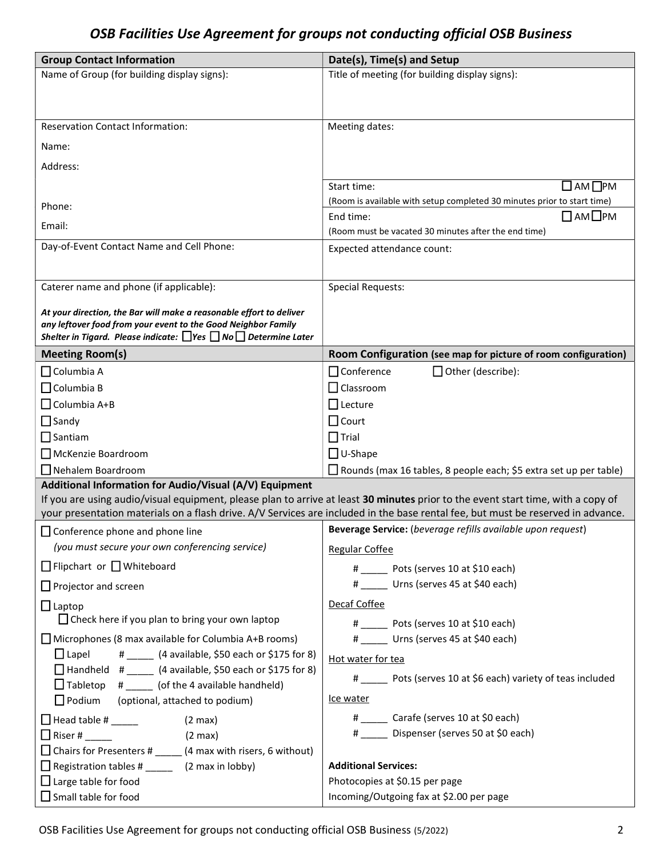#### OSB Facilities Use Agreement for groups not conducting official OSB Business

| <b>Group Contact Information</b>                                                          | Date(s), Time(s) and Setup                                                                                                                                                                                                                                           |  |  |
|-------------------------------------------------------------------------------------------|----------------------------------------------------------------------------------------------------------------------------------------------------------------------------------------------------------------------------------------------------------------------|--|--|
| Name of Group (for building display signs):                                               | Title of meeting (for building display signs):                                                                                                                                                                                                                       |  |  |
|                                                                                           |                                                                                                                                                                                                                                                                      |  |  |
|                                                                                           |                                                                                                                                                                                                                                                                      |  |  |
| <b>Reservation Contact Information:</b>                                                   | Meeting dates:                                                                                                                                                                                                                                                       |  |  |
| Name:                                                                                     |                                                                                                                                                                                                                                                                      |  |  |
|                                                                                           |                                                                                                                                                                                                                                                                      |  |  |
| Address:                                                                                  |                                                                                                                                                                                                                                                                      |  |  |
|                                                                                           | $\Box$ AM $\Box$ PM<br>Start time:                                                                                                                                                                                                                                   |  |  |
| Phone:                                                                                    | (Room is available with setup completed 30 minutes prior to start time)                                                                                                                                                                                              |  |  |
| Email:                                                                                    | $\Box$ AM $\Box$ PM<br>End time:<br>(Room must be vacated 30 minutes after the end time)                                                                                                                                                                             |  |  |
| Day-of-Event Contact Name and Cell Phone:                                                 |                                                                                                                                                                                                                                                                      |  |  |
|                                                                                           | Expected attendance count:                                                                                                                                                                                                                                           |  |  |
|                                                                                           |                                                                                                                                                                                                                                                                      |  |  |
| Caterer name and phone (if applicable):                                                   | <b>Special Requests:</b>                                                                                                                                                                                                                                             |  |  |
| At your direction, the Bar will make a reasonable effort to deliver                       |                                                                                                                                                                                                                                                                      |  |  |
| any leftover food from your event to the Good Neighbor Family                             |                                                                                                                                                                                                                                                                      |  |  |
| Shelter in Tigard. Please indicate: $\Box$ Yes $\Box$ No $\Box$ Determine Later           |                                                                                                                                                                                                                                                                      |  |  |
| <b>Meeting Room(s)</b>                                                                    | Room Configuration (see map for picture of room configuration)                                                                                                                                                                                                       |  |  |
| $\Box$ Columbia A                                                                         | $\Box$ Conference<br>$\Box$ Other (describe):                                                                                                                                                                                                                        |  |  |
| $\Box$ Columbia B                                                                         | $\Box$ Classroom                                                                                                                                                                                                                                                     |  |  |
| $\Box$ Columbia A+B                                                                       | $\Box$ Lecture                                                                                                                                                                                                                                                       |  |  |
| $\Box$ Sandy                                                                              | $\Box$ Court                                                                                                                                                                                                                                                         |  |  |
| $\square$ Santiam                                                                         | $\Box$ Trial                                                                                                                                                                                                                                                         |  |  |
| McKenzie Boardroom                                                                        | $\Box$ U-Shape                                                                                                                                                                                                                                                       |  |  |
| $\Box$ Nehalem Boardroom                                                                  | Rounds (max 16 tables, 8 people each; \$5 extra set up per table)                                                                                                                                                                                                    |  |  |
| Additional Information for Audio/Visual (A/V) Equipment                                   |                                                                                                                                                                                                                                                                      |  |  |
|                                                                                           | If you are using audio/visual equipment, please plan to arrive at least 30 minutes prior to the event start time, with a copy of<br>your presentation materials on a flash drive. A/V Services are included in the base rental fee, but must be reserved in advance. |  |  |
|                                                                                           | Beverage Service: (beverage refills available upon request)                                                                                                                                                                                                          |  |  |
| $\Box$ Conference phone and phone line<br>(you must secure your own conferencing service) |                                                                                                                                                                                                                                                                      |  |  |
|                                                                                           | Regular Coffee                                                                                                                                                                                                                                                       |  |  |
| $\Box$ Flipchart or $\Box$ Whiteboard                                                     | # Pots (serves 10 at \$10 each)                                                                                                                                                                                                                                      |  |  |
| $\Box$ Projector and screen                                                               | # Urns (serves 45 at \$40 each)                                                                                                                                                                                                                                      |  |  |
| $\Box$ Laptop                                                                             | Decaf Coffee                                                                                                                                                                                                                                                         |  |  |
| $\Box$ Check here if you plan to bring your own laptop                                    | # Pots (serves 10 at \$10 each)                                                                                                                                                                                                                                      |  |  |
| $\Box$ Microphones (8 max available for Columbia A+B rooms)                               | # Urns (serves 45 at \$40 each)                                                                                                                                                                                                                                      |  |  |
| $\Box$ Lapel #_________ (4 available, \$50 each or \$175 for 8)                           | Hot water for tea                                                                                                                                                                                                                                                    |  |  |
| $\Box$ Handheld # _______ (4 available, \$50 each or \$175 for 8)                         | # _____ Pots (serves 10 at \$6 each) variety of teas included                                                                                                                                                                                                        |  |  |
| $\Box$ Tabletop # _____ (of the 4 available handheld)                                     |                                                                                                                                                                                                                                                                      |  |  |
| $\Box$ Podium (optional, attached to podium)                                              | Ice water                                                                                                                                                                                                                                                            |  |  |
| $\Box$ Head table # _____<br>$(2 \text{ max})$                                            | # Carafe (serves 10 at \$0 each)                                                                                                                                                                                                                                     |  |  |
| Riser # $\frac{1}{\sqrt{2}}$<br>(2 max)                                                   | # ______ Dispenser (serves 50 at \$0 each)                                                                                                                                                                                                                           |  |  |
| $\Box$ Chairs for Presenters # _____ (4 max with risers, 6 without)                       |                                                                                                                                                                                                                                                                      |  |  |
| $\Box$ Registration tables # _______ (2 max in lobby)                                     | <b>Additional Services:</b>                                                                                                                                                                                                                                          |  |  |
| $\Box$ Large table for food<br>$\Box$ Small table for food                                | Photocopies at \$0.15 per page                                                                                                                                                                                                                                       |  |  |
|                                                                                           | Incoming/Outgoing fax at \$2.00 per page                                                                                                                                                                                                                             |  |  |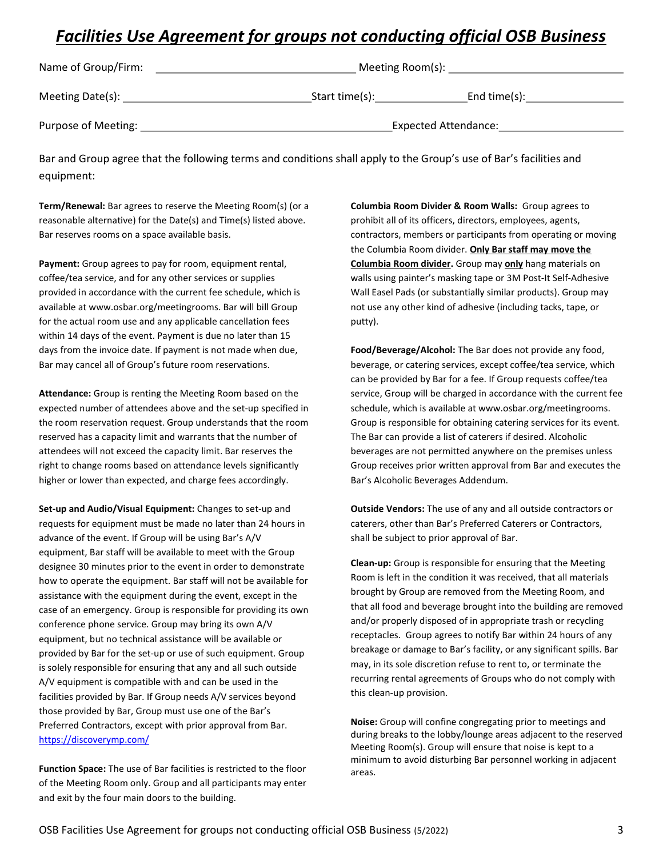## Facilities Use Agreement for groups not conducting official OSB Business

| Name of Group/Firm:                       | Meeting Room(s): Neeting Room(s): |                  |  |
|-------------------------------------------|-----------------------------------|------------------|--|
| Meeting Date(s): $\overline{\phantom{a}}$ | Start time(s):                    | End time $(s)$ : |  |
| Purpose of Meeting:                       | Expected Attendance:              |                  |  |

Bar and Group agree that the following terms and conditions shall apply to the Group's use of Bar's facilities and equipment:

Term/Renewal: Bar agrees to reserve the Meeting Room(s) (or a reasonable alternative) for the Date(s) and Time(s) listed above. Bar reserves rooms on a space available basis.

Payment: Group agrees to pay for room, equipment rental, coffee/tea service, and for any other services or supplies provided in accordance with the current fee schedule, which is available at www.osbar.org/meetingrooms. Bar will bill Group for the actual room use and any applicable cancellation fees within 14 days of the event. Payment is due no later than 15 days from the invoice date. If payment is not made when due, Bar may cancel all of Group's future room reservations.

Attendance: Group is renting the Meeting Room based on the expected number of attendees above and the set-up specified in the room reservation request. Group understands that the room reserved has a capacity limit and warrants that the number of attendees will not exceed the capacity limit. Bar reserves the right to change rooms based on attendance levels significantly higher or lower than expected, and charge fees accordingly.

Set-up and Audio/Visual Equipment: Changes to set-up and requests for equipment must be made no later than 24 hours in advance of the event. If Group will be using Bar's A/V equipment, Bar staff will be available to meet with the Group designee 30 minutes prior to the event in order to demonstrate how to operate the equipment. Bar staff will not be available for assistance with the equipment during the event, except in the case of an emergency. Group is responsible for providing its own conference phone service. Group may bring its own A/V equipment, but no technical assistance will be available or provided by Bar for the set-up or use of such equipment. Group is solely responsible for ensuring that any and all such outside A/V equipment is compatible with and can be used in the facilities provided by Bar. If Group needs A/V services beyond those provided by Bar, Group must use one of the Bar's Preferred Contractors, except with prior approval from Bar. https://discoverymp.com/

Function Space: The use of Bar facilities is restricted to the floor of the Meeting Room only. Group and all participants may enter and exit by the four main doors to the building.

Columbia Room Divider & Room Walls: Group agrees to prohibit all of its officers, directors, employees, agents, contractors, members or participants from operating or moving the Columbia Room divider. Only Bar staff may move the Columbia Room divider. Group may only hang materials on walls using painter's masking tape or 3M Post-It Self-Adhesive Wall Easel Pads (or substantially similar products). Group may not use any other kind of adhesive (including tacks, tape, or putty).

Food/Beverage/Alcohol: The Bar does not provide any food, beverage, or catering services, except coffee/tea service, which can be provided by Bar for a fee. If Group requests coffee/tea service, Group will be charged in accordance with the current fee schedule, which is available at www.osbar.org/meetingrooms. Group is responsible for obtaining catering services for its event. The Bar can provide a list of caterers if desired. Alcoholic beverages are not permitted anywhere on the premises unless Group receives prior written approval from Bar and executes the Bar's Alcoholic Beverages Addendum.

Outside Vendors: The use of any and all outside contractors or caterers, other than Bar's Preferred Caterers or Contractors, shall be subject to prior approval of Bar.

Clean-up: Group is responsible for ensuring that the Meeting Room is left in the condition it was received, that all materials brought by Group are removed from the Meeting Room, and that all food and beverage brought into the building are removed and/or properly disposed of in appropriate trash or recycling receptacles. Group agrees to notify Bar within 24 hours of any breakage or damage to Bar's facility, or any significant spills. Bar may, in its sole discretion refuse to rent to, or terminate the recurring rental agreements of Groups who do not comply with this clean-up provision.

Noise: Group will confine congregating prior to meetings and during breaks to the lobby/lounge areas adjacent to the reserved Meeting Room(s). Group will ensure that noise is kept to a minimum to avoid disturbing Bar personnel working in adjacent areas.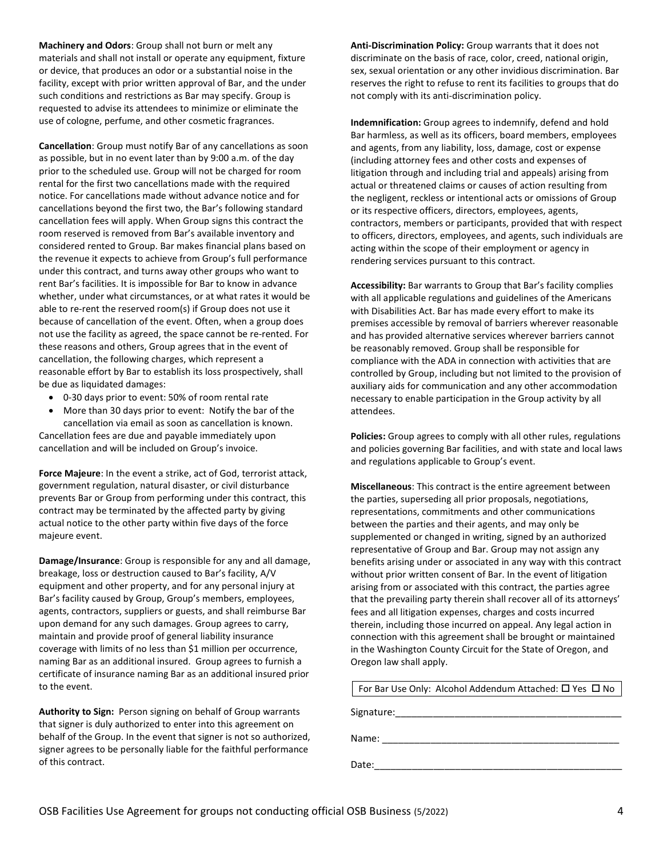Machinery and Odors: Group shall not burn or melt any materials and shall not install or operate any equipment, fixture or device, that produces an odor or a substantial noise in the facility, except with prior written approval of Bar, and the under such conditions and restrictions as Bar may specify. Group is requested to advise its attendees to minimize or eliminate the use of cologne, perfume, and other cosmetic fragrances.

Cancellation: Group must notify Bar of any cancellations as soon as possible, but in no event later than by 9:00 a.m. of the day prior to the scheduled use. Group will not be charged for room rental for the first two cancellations made with the required notice. For cancellations made without advance notice and for cancellations beyond the first two, the Bar's following standard cancellation fees will apply. When Group signs this contract the room reserved is removed from Bar's available inventory and considered rented to Group. Bar makes financial plans based on the revenue it expects to achieve from Group's full performance under this contract, and turns away other groups who want to rent Bar's facilities. It is impossible for Bar to know in advance whether, under what circumstances, or at what rates it would be able to re-rent the reserved room(s) if Group does not use it because of cancellation of the event. Often, when a group does not use the facility as agreed, the space cannot be re-rented. For these reasons and others, Group agrees that in the event of cancellation, the following charges, which represent a reasonable effort by Bar to establish its loss prospectively, shall be due as liquidated damages:

- 0-30 days prior to event: 50% of room rental rate
- More than 30 days prior to event: Notify the bar of the cancellation via email as soon as cancellation is known. Cancellation fees are due and payable immediately upon cancellation and will be included on Group's invoice.

Force Majeure: In the event a strike, act of God, terrorist attack, government regulation, natural disaster, or civil disturbance prevents Bar or Group from performing under this contract, this contract may be terminated by the affected party by giving actual notice to the other party within five days of the force majeure event.

Damage/Insurance: Group is responsible for any and all damage, breakage, loss or destruction caused to Bar's facility, A/V equipment and other property, and for any personal injury at Bar's facility caused by Group, Group's members, employees, agents, contractors, suppliers or guests, and shall reimburse Bar upon demand for any such damages. Group agrees to carry, maintain and provide proof of general liability insurance coverage with limits of no less than \$1 million per occurrence, naming Bar as an additional insured. Group agrees to furnish a certificate of insurance naming Bar as an additional insured prior to the event.

Authority to Sign: Person signing on behalf of Group warrants that signer is duly authorized to enter into this agreement on behalf of the Group. In the event that signer is not so authorized, signer agrees to be personally liable for the faithful performance of this contract.

Anti-Discrimination Policy: Group warrants that it does not discriminate on the basis of race, color, creed, national origin, sex, sexual orientation or any other invidious discrimination. Bar reserves the right to refuse to rent its facilities to groups that do not comply with its anti-discrimination policy.

Indemnification: Group agrees to indemnify, defend and hold Bar harmless, as well as its officers, board members, employees and agents, from any liability, loss, damage, cost or expense (including attorney fees and other costs and expenses of litigation through and including trial and appeals) arising from actual or threatened claims or causes of action resulting from the negligent, reckless or intentional acts or omissions of Group or its respective officers, directors, employees, agents, contractors, members or participants, provided that with respect to officers, directors, employees, and agents, such individuals are acting within the scope of their employment or agency in rendering services pursuant to this contract.

Accessibility: Bar warrants to Group that Bar's facility complies with all applicable regulations and guidelines of the Americans with Disabilities Act. Bar has made every effort to make its premises accessible by removal of barriers wherever reasonable and has provided alternative services wherever barriers cannot be reasonably removed. Group shall be responsible for compliance with the ADA in connection with activities that are controlled by Group, including but not limited to the provision of auxiliary aids for communication and any other accommodation necessary to enable participation in the Group activity by all attendees.

Policies: Group agrees to comply with all other rules, regulations and policies governing Bar facilities, and with state and local laws and regulations applicable to Group's event.

Miscellaneous: This contract is the entire agreement between the parties, superseding all prior proposals, negotiations, representations, commitments and other communications between the parties and their agents, and may only be supplemented or changed in writing, signed by an authorized representative of Group and Bar. Group may not assign any benefits arising under or associated in any way with this contract without prior written consent of Bar. In the event of litigation arising from or associated with this contract, the parties agree that the prevailing party therein shall recover all of its attorneys' fees and all litigation expenses, charges and costs incurred therein, including those incurred on appeal. Any legal action in connection with this agreement shall be brought or maintained in the Washington County Circuit for the State of Oregon, and Oregon law shall apply.

| For Bar Use Only: Alcohol Addendum Attached: $\Box$ Yes $\Box$ No |
|-------------------------------------------------------------------|
| Signature:                                                        |
| Name:                                                             |
| Date:                                                             |